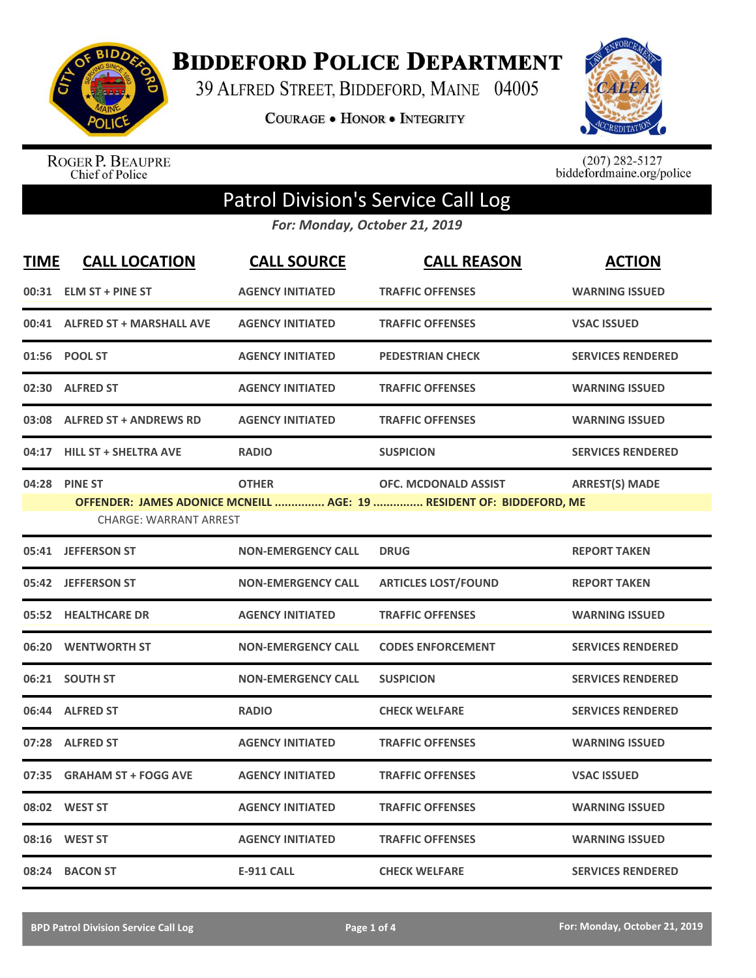

**BIDDEFORD POLICE DEPARTMENT** 

39 ALFRED STREET, BIDDEFORD, MAINE 04005

**COURAGE . HONOR . INTEGRITY** 



ROGER P. BEAUPRE<br>Chief of Police

 $(207)$  282-5127<br>biddefordmaine.org/police

## Patrol Division's Service Call Log

*For: Monday, October 21, 2019*

| <b>TIME</b> | <b>CALL LOCATION</b>                           | <b>CALL SOURCE</b>        | <b>CALL REASON</b>                                                                           | <b>ACTION</b>            |
|-------------|------------------------------------------------|---------------------------|----------------------------------------------------------------------------------------------|--------------------------|
|             | 00:31 ELM ST + PINE ST                         | <b>AGENCY INITIATED</b>   | <b>TRAFFIC OFFENSES</b>                                                                      | <b>WARNING ISSUED</b>    |
|             | 00:41 ALFRED ST + MARSHALL AVE                 | <b>AGENCY INITIATED</b>   | <b>TRAFFIC OFFENSES</b>                                                                      | <b>VSAC ISSUED</b>       |
|             | 01:56 POOL ST                                  | <b>AGENCY INITIATED</b>   | <b>PEDESTRIAN CHECK</b>                                                                      | <b>SERVICES RENDERED</b> |
| 02:30       | <b>ALFRED ST</b>                               | <b>AGENCY INITIATED</b>   | <b>TRAFFIC OFFENSES</b>                                                                      | <b>WARNING ISSUED</b>    |
|             | 03:08 ALFRED ST + ANDREWS RD                   | <b>AGENCY INITIATED</b>   | <b>TRAFFIC OFFENSES</b>                                                                      | <b>WARNING ISSUED</b>    |
| 04:17       | <b>HILL ST + SHELTRA AVE</b>                   | <b>RADIO</b>              | <b>SUSPICION</b>                                                                             | <b>SERVICES RENDERED</b> |
|             | 04:28 PINE ST<br><b>CHARGE: WARRANT ARREST</b> | <b>OTHER</b>              | OFC. MCDONALD ASSIST<br>OFFENDER: JAMES ADONICE MCNEILL  AGE: 19  RESIDENT OF: BIDDEFORD, ME | <b>ARREST(S) MADE</b>    |
|             | 05:41 JEFFERSON ST                             | <b>NON-EMERGENCY CALL</b> | <b>DRUG</b>                                                                                  | <b>REPORT TAKEN</b>      |
| 05:42       | <b>JEFFERSON ST</b>                            | <b>NON-EMERGENCY CALL</b> | <b>ARTICLES LOST/FOUND</b>                                                                   | <b>REPORT TAKEN</b>      |
| 05:52       | <b>HEALTHCARE DR</b>                           | <b>AGENCY INITIATED</b>   | <b>TRAFFIC OFFENSES</b>                                                                      | <b>WARNING ISSUED</b>    |
|             | 06:20 WENTWORTH ST                             | <b>NON-EMERGENCY CALL</b> | <b>CODES ENFORCEMENT</b>                                                                     | <b>SERVICES RENDERED</b> |
|             | 06:21 SOUTH ST                                 | <b>NON-EMERGENCY CALL</b> | <b>SUSPICION</b>                                                                             | <b>SERVICES RENDERED</b> |
|             | 06:44 ALFRED ST                                | <b>RADIO</b>              | <b>CHECK WELFARE</b>                                                                         | <b>SERVICES RENDERED</b> |
|             | 07:28 ALFRED ST                                | <b>AGENCY INITIATED</b>   | <b>TRAFFIC OFFENSES</b>                                                                      | <b>WARNING ISSUED</b>    |
| 07:35       | <b>GRAHAM ST + FOGG AVE</b>                    | <b>AGENCY INITIATED</b>   | <b>TRAFFIC OFFENSES</b>                                                                      | <b>VSAC ISSUED</b>       |
|             | 08:02 WEST ST                                  | <b>AGENCY INITIATED</b>   | <b>TRAFFIC OFFENSES</b>                                                                      | <b>WARNING ISSUED</b>    |
| 08:16       | <b>WEST ST</b>                                 | <b>AGENCY INITIATED</b>   | <b>TRAFFIC OFFENSES</b>                                                                      | <b>WARNING ISSUED</b>    |
|             | 08:24 BACON ST                                 | <b>E-911 CALL</b>         | <b>CHECK WELFARE</b>                                                                         | <b>SERVICES RENDERED</b> |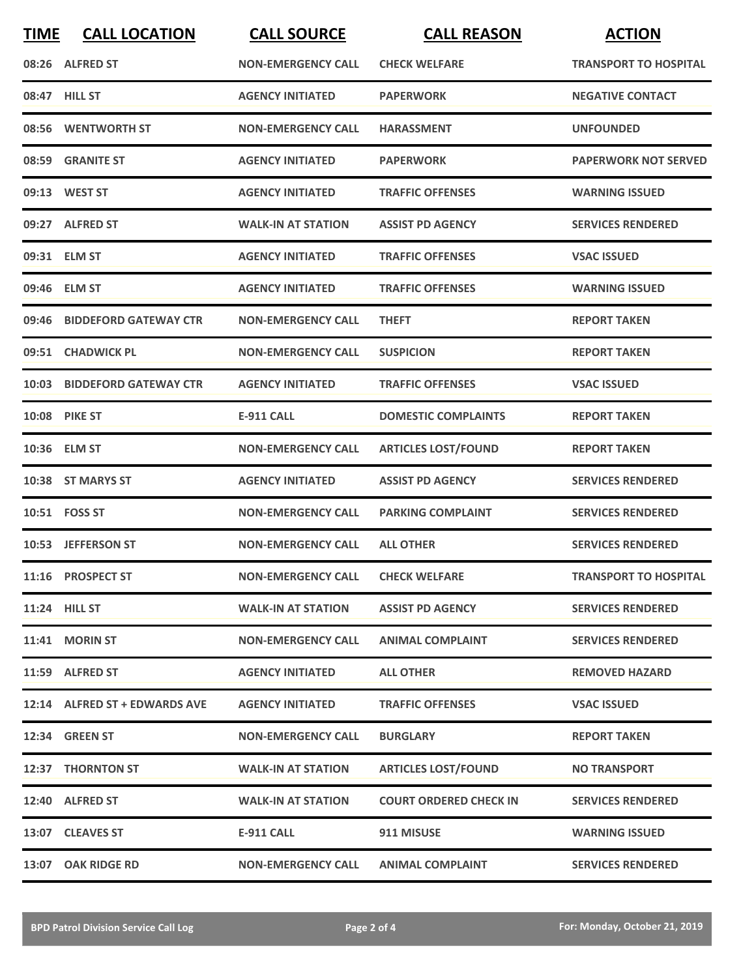| <b>TIME</b> | <b>CALL LOCATION</b>          | <b>CALL SOURCE</b>               | <b>CALL REASON</b>            | <b>ACTION</b>                |
|-------------|-------------------------------|----------------------------------|-------------------------------|------------------------------|
|             | 08:26 ALFRED ST               | <b>NON-EMERGENCY CALL</b>        | <b>CHECK WELFARE</b>          | <b>TRANSPORT TO HOSPITAL</b> |
|             | 08:47 HILL ST                 | <b>AGENCY INITIATED</b>          | <b>PAPERWORK</b>              | <b>NEGATIVE CONTACT</b>      |
|             | 08:56 WENTWORTH ST            | <b>NON-EMERGENCY CALL</b>        | <b>HARASSMENT</b>             | <b>UNFOUNDED</b>             |
|             | 08:59 GRANITE ST              | <b>AGENCY INITIATED</b>          | <b>PAPERWORK</b>              | <b>PAPERWORK NOT SERVED</b>  |
|             | 09:13 WEST ST                 | <b>AGENCY INITIATED</b>          | <b>TRAFFIC OFFENSES</b>       | <b>WARNING ISSUED</b>        |
|             | 09:27 ALFRED ST               | <b>WALK-IN AT STATION</b>        | <b>ASSIST PD AGENCY</b>       | <b>SERVICES RENDERED</b>     |
|             | 09:31 ELM ST                  | <b>AGENCY INITIATED</b>          | <b>TRAFFIC OFFENSES</b>       | <b>VSAC ISSUED</b>           |
|             | 09:46 ELM ST                  | <b>AGENCY INITIATED</b>          | <b>TRAFFIC OFFENSES</b>       | <b>WARNING ISSUED</b>        |
|             | 09:46 BIDDEFORD GATEWAY CTR   | <b>NON-EMERGENCY CALL</b>        | <b>THEFT</b>                  | <b>REPORT TAKEN</b>          |
|             | 09:51 CHADWICK PL             | <b>NON-EMERGENCY CALL</b>        | <b>SUSPICION</b>              | <b>REPORT TAKEN</b>          |
|             | 10:03 BIDDEFORD GATEWAY CTR   | <b>AGENCY INITIATED</b>          | <b>TRAFFIC OFFENSES</b>       | <b>VSAC ISSUED</b>           |
|             | <b>10:08 PIKE ST</b>          | <b>E-911 CALL</b>                | <b>DOMESTIC COMPLAINTS</b>    | <b>REPORT TAKEN</b>          |
|             | 10:36 ELM ST                  | <b>NON-EMERGENCY CALL</b>        | <b>ARTICLES LOST/FOUND</b>    | <b>REPORT TAKEN</b>          |
|             | 10:38 ST MARYS ST             | <b>AGENCY INITIATED</b>          | <b>ASSIST PD AGENCY</b>       | <b>SERVICES RENDERED</b>     |
|             | 10:51    FOSS ST              | <b>NON-EMERGENCY CALL</b>        | <b>PARKING COMPLAINT</b>      | <b>SERVICES RENDERED</b>     |
|             | 10:53 JEFFERSON ST            | <b>NON-EMERGENCY CALL</b>        | <b>ALL OTHER</b>              | <b>SERVICES RENDERED</b>     |
|             | 11:16 PROSPECT ST             | NON-EMERGENCY CALL CHECK WELFARE |                               | <b>TRANSPORT TO HOSPITAL</b> |
|             | 11:24 HILL ST                 | <b>WALK-IN AT STATION</b>        | <b>ASSIST PD AGENCY</b>       | <b>SERVICES RENDERED</b>     |
|             | 11:41 MORIN ST                | <b>NON-EMERGENCY CALL</b>        | <b>ANIMAL COMPLAINT</b>       | <b>SERVICES RENDERED</b>     |
|             | 11:59 ALFRED ST               | <b>AGENCY INITIATED</b>          | <b>ALL OTHER</b>              | <b>REMOVED HAZARD</b>        |
|             | 12:14 ALFRED ST + EDWARDS AVE | <b>AGENCY INITIATED</b>          | <b>TRAFFIC OFFENSES</b>       | <b>VSAC ISSUED</b>           |
|             | <b>12:34 GREEN ST</b>         | <b>NON-EMERGENCY CALL</b>        | <b>BURGLARY</b>               | <b>REPORT TAKEN</b>          |
|             | 12:37 THORNTON ST             | <b>WALK-IN AT STATION</b>        | <b>ARTICLES LOST/FOUND</b>    | <b>NO TRANSPORT</b>          |
|             | 12:40 ALFRED ST               | <b>WALK-IN AT STATION</b>        | <b>COURT ORDERED CHECK IN</b> | <b>SERVICES RENDERED</b>     |
|             | 13:07 CLEAVES ST              | E-911 CALL                       | 911 MISUSE                    | <b>WARNING ISSUED</b>        |
|             | 13:07 OAK RIDGE RD            | <b>NON-EMERGENCY CALL</b>        | <b>ANIMAL COMPLAINT</b>       | <b>SERVICES RENDERED</b>     |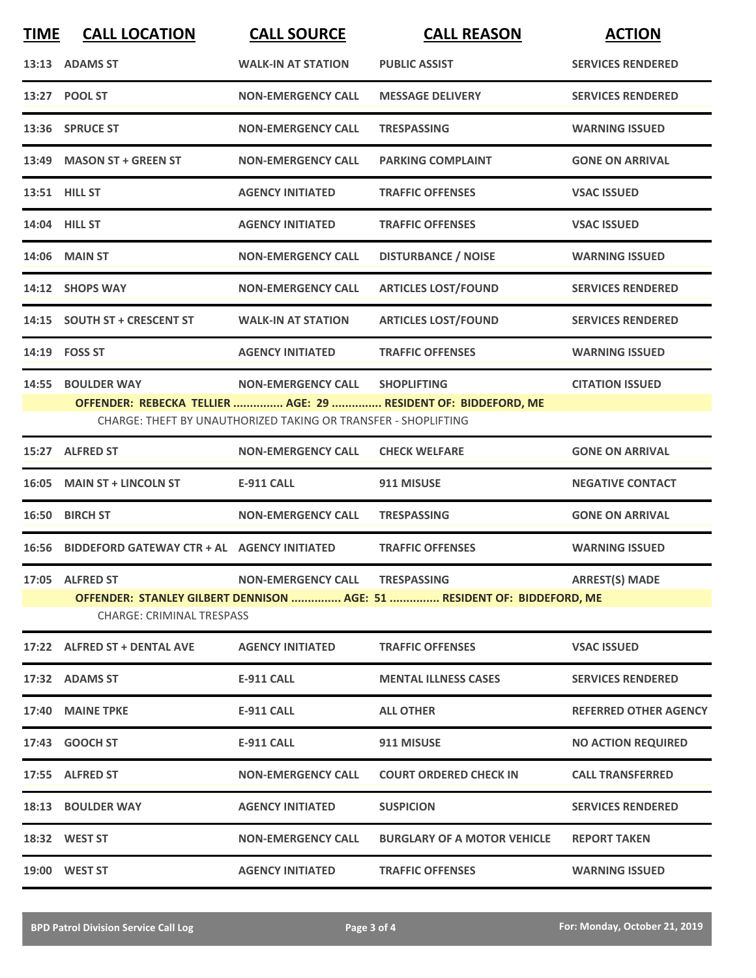| <b>TIME</b> | <b>CALL LOCATION</b>                        | <b>CALL SOURCE</b>                                             | <b>CALL REASON</b>                                                                   | <b>ACTION</b>                |
|-------------|---------------------------------------------|----------------------------------------------------------------|--------------------------------------------------------------------------------------|------------------------------|
|             | 13:13 ADAMS ST                              | <b>WALK-IN AT STATION</b>                                      | <b>PUBLIC ASSIST</b>                                                                 | <b>SERVICES RENDERED</b>     |
|             | 13:27 POOL ST                               | <b>NON-EMERGENCY CALL</b>                                      | <b>MESSAGE DELIVERY</b>                                                              | <b>SERVICES RENDERED</b>     |
|             | 13:36 SPRUCE ST                             | <b>NON-EMERGENCY CALL</b>                                      | <b>TRESPASSING</b>                                                                   | <b>WARNING ISSUED</b>        |
| 13:49       | <b>MASON ST + GREEN ST</b>                  | <b>NON-EMERGENCY CALL</b>                                      | <b>PARKING COMPLAINT</b>                                                             | <b>GONE ON ARRIVAL</b>       |
|             | <b>13:51 HILL ST</b>                        | <b>AGENCY INITIATED</b>                                        | <b>TRAFFIC OFFENSES</b>                                                              | <b>VSAC ISSUED</b>           |
|             | 14:04 HILL ST                               | <b>AGENCY INITIATED</b>                                        | <b>TRAFFIC OFFENSES</b>                                                              | <b>VSAC ISSUED</b>           |
|             | <b>14:06 MAIN ST</b>                        | <b>NON-EMERGENCY CALL</b>                                      | <b>DISTURBANCE / NOISE</b>                                                           | <b>WARNING ISSUED</b>        |
|             | 14:12 SHOPS WAY                             | <b>NON-EMERGENCY CALL</b>                                      | <b>ARTICLES LOST/FOUND</b>                                                           | <b>SERVICES RENDERED</b>     |
|             | 14:15 SOUTH ST + CRESCENT ST                | <b>WALK-IN AT STATION</b>                                      | <b>ARTICLES LOST/FOUND</b>                                                           | <b>SERVICES RENDERED</b>     |
| 14:19       | <b>FOSS ST</b>                              | <b>AGENCY INITIATED</b>                                        | <b>TRAFFIC OFFENSES</b>                                                              | <b>WARNING ISSUED</b>        |
| 14:55       | <b>BOULDER WAY</b>                          | <b>NON-EMERGENCY CALL</b>                                      | <b>SHOPLIFTING</b><br>OFFENDER: REBECKA TELLIER  AGE: 29  RESIDENT OF: BIDDEFORD, ME | <b>CITATION ISSUED</b>       |
|             |                                             | CHARGE: THEFT BY UNAUTHORIZED TAKING OR TRANSFER - SHOPLIFTING |                                                                                      |                              |
|             | 15:27 ALFRED ST                             | <b>NON-EMERGENCY CALL</b>                                      | <b>CHECK WELFARE</b>                                                                 | <b>GONE ON ARRIVAL</b>       |
| 16:05       | <b>MAIN ST + LINCOLN ST</b>                 | <b>E-911 CALL</b>                                              | 911 MISUSE                                                                           | <b>NEGATIVE CONTACT</b>      |
| 16:50       | <b>BIRCH ST</b>                             | <b>NON-EMERGENCY CALL</b>                                      | <b>TRESPASSING</b>                                                                   | <b>GONE ON ARRIVAL</b>       |
| 16:56       | BIDDEFORD GATEWAY CTR + AL AGENCY INITIATED |                                                                | <b>TRAFFIC OFFENSES</b>                                                              | <b>WARNING ISSUED</b>        |
|             | 17:05 ALFRED ST                             | <b>NON-EMERGENCY CALL</b>                                      | <b>TRESPASSING</b>                                                                   | <b>ARREST(S) MADE</b>        |
|             | <b>CHARGE: CRIMINAL TRESPASS</b>            |                                                                | OFFENDER: STANLEY GILBERT DENNISON  AGE: 51  RESIDENT OF: BIDDEFORD, ME              |                              |
|             | 17:22 ALFRED ST + DENTAL AVE                | <b>AGENCY INITIATED</b>                                        | <b>TRAFFIC OFFENSES</b>                                                              | <b>VSAC ISSUED</b>           |
|             | 17:32 ADAMS ST                              | <b>E-911 CALL</b>                                              | <b>MENTAL ILLNESS CASES</b>                                                          | <b>SERVICES RENDERED</b>     |
|             | 17:40 MAINE TPKE                            | <b>E-911 CALL</b>                                              | <b>ALL OTHER</b>                                                                     | <b>REFERRED OTHER AGENCY</b> |
|             | 17:43 GOOCH ST                              | <b>E-911 CALL</b>                                              | 911 MISUSE                                                                           | <b>NO ACTION REQUIRED</b>    |
|             | 17:55 ALFRED ST                             | <b>NON-EMERGENCY CALL</b>                                      | <b>COURT ORDERED CHECK IN</b>                                                        | <b>CALL TRANSFERRED</b>      |
|             | 18:13 BOULDER WAY                           | <b>AGENCY INITIATED</b>                                        | <b>SUSPICION</b>                                                                     | <b>SERVICES RENDERED</b>     |
|             | 18:32 WEST ST                               | <b>NON-EMERGENCY CALL</b>                                      | <b>BURGLARY OF A MOTOR VEHICLE</b>                                                   | <b>REPORT TAKEN</b>          |
|             | 19:00 WEST ST                               | <b>AGENCY INITIATED</b>                                        | <b>TRAFFIC OFFENSES</b>                                                              | <b>WARNING ISSUED</b>        |